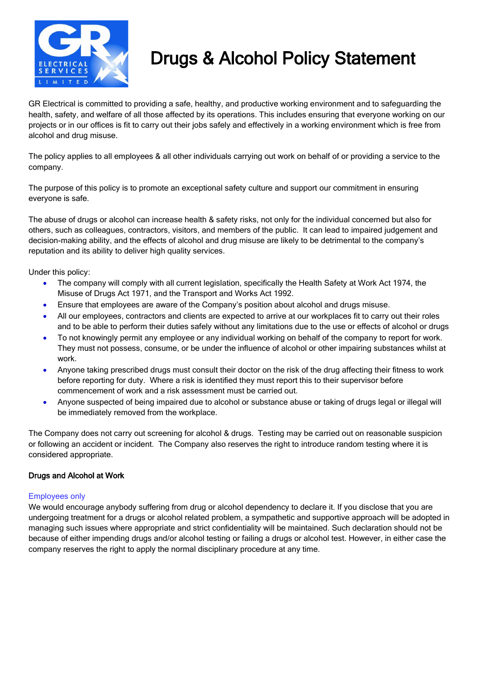

## Drugs & Alcohol Policy Statement

GR Electrical is committed to providing a safe, healthy, and productive working environment and to safeguarding the health, safety, and welfare of all those affected by its operations. This includes ensuring that everyone working on our projects or in our offices is fit to carry out their jobs safely and effectively in a working environment which is free from alcohol and drug misuse.

The policy applies to all employees & all other individuals carrying out work on behalf of or providing a service to the company.

The purpose of this policy is to promote an exceptional safety culture and support our commitment in ensuring everyone is safe.

The abuse of drugs or alcohol can increase health & safety risks, not only for the individual concerned but also for others, such as colleagues, contractors, visitors, and members of the public. It can lead to impaired judgement and decision-making ability, and the effects of alcohol and drug misuse are likely to be detrimental to the company's reputation and its ability to deliver high quality services.

Under this policy:

- The company will comply with all current legislation, specifically the Health Safety at Work Act 1974, the Misuse of Drugs Act 1971, and the Transport and Works Act 1992.
- Ensure that employees are aware of the Company's position about alcohol and drugs misuse.
- All our employees, contractors and clients are expected to arrive at our workplaces fit to carry out their roles and to be able to perform their duties safely without any limitations due to the use or effects of alcohol or drugs
- To not knowingly permit any employee or any individual working on behalf of the company to report for work. They must not possess, consume, or be under the influence of alcohol or other impairing substances whilst at work.
- Anyone taking prescribed drugs must consult their doctor on the risk of the drug affecting their fitness to work before reporting for duty. Where a risk is identified they must report this to their supervisor before commencement of work and a risk assessment must be carried out.
- Anyone suspected of being impaired due to alcohol or substance abuse or taking of drugs legal or illegal will be immediately removed from the workplace.

The Company does not carry out screening for alcohol & drugs. Testing may be carried out on reasonable suspicion or following an accident or incident. The Company also reserves the right to introduce random testing where it is considered appropriate.

## Drugs and Alcohol at Work

## Employees only

We would encourage anybody suffering from drug or alcohol dependency to declare it. If you disclose that you are undergoing treatment for a drugs or alcohol related problem, a sympathetic and supportive approach will be adopted in managing such issues where appropriate and strict confidentiality will be maintained. Such declaration should not be because of either impending drugs and/or alcohol testing or failing a drugs or alcohol test. However, in either case the company reserves the right to apply the normal disciplinary procedure at any time.